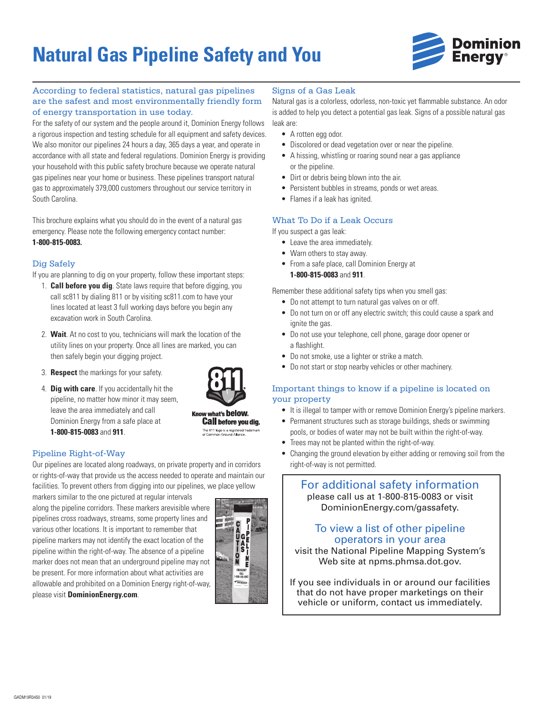# **Natural Gas Pipeline Safety and You**



## According to federal statistics, natural gas pipelines are the safest and most environmentally friendly form of energy transportation in use today.

For the safety of our system and the people around it, Dominion Energy follows a rigorous inspection and testing schedule for all equipment and safety devices. We also monitor our pipelines 24 hours a day, 365 days a year, and operate in accordance with all state and federal regulations. Dominion Energy is providing your household with this public safety brochure because we operate natural gas pipelines near your home or business. These pipelines transport natural gas to approximately 379,000 customers throughout our service territory in South Carolina.

This brochure explains what you should do in the event of a natural gas emergency. Please note the following emergency contact number: **1-800-815-0083.**

## Dig Safely

If you are planning to dig on your property, follow these important steps:

- 1. **Call before you dig**. State laws require that before digging, you call sc811 by dialing 811 or by visiting sc811.com to have your lines located at least 3 full working days before you begin any excavation work in South Carolina.
- 2. **Wait**. At no cost to you, technicians will mark the location of the utility lines on your property. Once all lines are marked, you can then safely begin your digging project.
- 3. **Respect** the markings for your safety.
- 4. **Dig with care**. If you accidentally hit the pipeline, no matter how minor it may seem, leave the area immediately and call Dominion Energy from a safe place at **1-800-815-0083** and **911**.



Know what's below. **Call before you dig.** The 811 logo is a registered trademark<br>of Common Ground Alliance.

# Pipeline Right-of-Way

Our pipelines are located along roadways, on private property and in corridors or rights-of-way that provide us the access needed to operate and maintain our facilities. To prevent others from digging into our pipelines, we place yellow

markers similar to the one pictured at regular intervals along the pipeline corridors. These markers arevisible where pipelines cross roadways, streams, some property lines and various other locations. It is important to remember that pipeline markers may not identify the exact location of the pipeline within the right-of-way. The absence of a pipeline marker does not mean that an underground pipeline may not be present. For more information about what activities are allowable and prohibited on a Dominion Energy right-of-way, please visit **DominionEnergy.com**.



## Signs of a Gas Leak

Natural gas is a colorless, odorless, non-toxic yet flammable substance. An odor is added to help you detect a potential gas leak. Signs of a possible natural gas leak are:

- A rotten egg odor.
- Discolored or dead vegetation over or near the pipeline.
- A hissing, whistling or roaring sound near a gas appliance or the pipeline.
- Dirt or debris being blown into the air.
- Persistent bubbles in streams, ponds or wet areas.
- Flames if a leak has ignited.

# What To Do if a Leak Occurs

If you suspect a gas leak:

- Leave the area immediately.
- Warn others to stay away.
- From a safe place, call Dominion Energy at **1-800-815-0083** and **911**.

Remember these additional safety tips when you smell gas:

- Do not attempt to turn natural gas valves on or off.
- Do not turn on or off any electric switch; this could cause a spark and ignite the gas.
- Do not use your telephone, cell phone, garage door opener or a flashlight.
- Do not smoke, use a lighter or strike a match.
- Do not start or stop nearby vehicles or other machinery.

## Important things to know if a pipeline is located on your property

- It is illegal to tamper with or remove Dominion Energy's pipeline markers.
- Permanent structures such as storage buildings, sheds or swimming pools, or bodies of water may not be built within the right-of-way.
- Trees may not be planted within the right-of-way.
- Changing the ground elevation by either adding or removing soil from the right-of-way is not permitted.

# For additional safety information please call us at 1-800-815-0083 or visit DominionEnergy.com/gassafety.

# To view a list of other pipeline operators in your area

visit the National Pipeline Mapping System's Web site at npms.phmsa.dot.gov.

If you see individuals in or around our facilities that do not have proper marketings on their vehicle or uniform, contact us immediately.